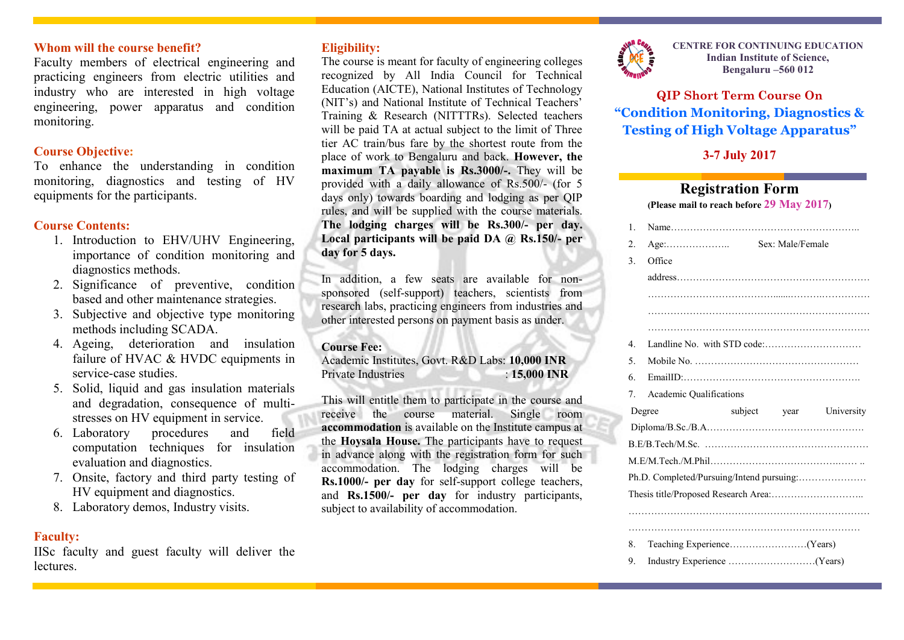### **Whom will the course benefit?**

Faculty members of electrical engineering and practicing engineers from electric utilities and industry who are interested in high voltage engineering, power apparatus and condition monitoring.

### **Course Objective:**

To enhance the understanding in condition monitoring, diagnostics and testing of HV equipments for the participants.

### **Course Contents:**

- 1. Introduction to EHV/UHV Engineering, importance of condition monitoring and diagnostics methods.
- 2. Significance of preventive, condition based and other maintenance strategies.
- 3. Subjective and objective type monitoring methods including SCADA.
- 4. Ageing, deterioration and insulation failure of HVAC & HVDC equipments in service-case studies.
- 5. Solid, liquid and gas insulation materials and degradation, consequence of multistresses on HV equipment in service.
- 6. Laboratory procedures and field computation techniques for insulation evaluation and diagnostics.
- 7. Onsite, factory and third party testing of HV equipment and diagnostics.
- 8. Laboratory demos, Industry visits.

### **Faculty:**

IISc faculty and guest faculty will deliver the **lectures** 

### **Eligibility:**

The course is meant for faculty of engineering colleges recognized by All India Council for Technical Education (AICTE), National Institutes of Technology (NIT's) and National Institute of Technical Teachers' Training & Research (NITTTRs). Selected teachers will be paid TA at actual subject to the limit of Three tier AC train/bus fare by the shortest route from the place of work to Bengaluru and back. **However, the maximum TA payable is Rs.3000/-.** They will be provided with a daily allowance of Rs.500/- (for 5 days only) towards boarding and lodging as per QIP rules, and will be supplied with the course materials. **The lodging charges will be Rs.300/- per day. Local participants will be paid DA @ Rs.150/- per day for 5 days.**

In addition, a few seats are available for nonsponsored (self-support) teachers, scientists from research labs, practicing engineers from industries and other interested persons on payment basis as under.

#### **Course Fee:**

Academic Institutes, Govt. R&D Labs: **10,000 INR** Private Industries : **15,000 INR**

This will entitle them to participate in the course and receive the course material. Single room **accommodation** is available on the Institute campus at the **Hoysala House.** The participants have to request in advance along with the registration form for such accommodation. The lodging charges will be **Rs.1000/- per day** for self-support college teachers, and **Rs.1500/- per day** for industry participants, subject to availability of accommodation.



**CENTRE FOR CONTINUING EDUCATION Indian Institute of Science, Bengaluru –560 012**

**QIP Short Term Course On "Condition Monitoring, Diagnostics & Testing of High Voltage Apparatus"**

### **3-7 July 2017**

# **Registration Form**

**(Please mail to reach before 29 May 2017)**

|  | $\mathbf{1}$                              |                                           |  |                  |            |
|--|-------------------------------------------|-------------------------------------------|--|------------------|------------|
|  | $\overline{2}$ .                          | $Age: \ldots \ldots \ldots \ldots \ldots$ |  | Sex: Male/Female |            |
|  | 3.                                        | Office                                    |  |                  |            |
|  |                                           |                                           |  |                  |            |
|  |                                           |                                           |  |                  |            |
|  |                                           |                                           |  |                  |            |
|  |                                           |                                           |  |                  |            |
|  | 4                                         |                                           |  |                  |            |
|  | 5.                                        |                                           |  |                  |            |
|  | 6.                                        |                                           |  |                  |            |
|  | $7_{\scriptscriptstyle{\circ}}$           | Academic Qualifications                   |  |                  |            |
|  | Degree                                    |                                           |  | subject year     | University |
|  |                                           |                                           |  |                  |            |
|  |                                           |                                           |  |                  |            |
|  |                                           |                                           |  |                  |            |
|  | Ph.D. Completed/Pursuing/Intend pursuing: |                                           |  |                  |            |
|  |                                           |                                           |  |                  |            |
|  |                                           |                                           |  |                  |            |
|  |                                           |                                           |  |                  |            |
|  | 8.                                        |                                           |  |                  |            |
|  |                                           |                                           |  |                  |            |
|  | 9.                                        |                                           |  |                  |            |